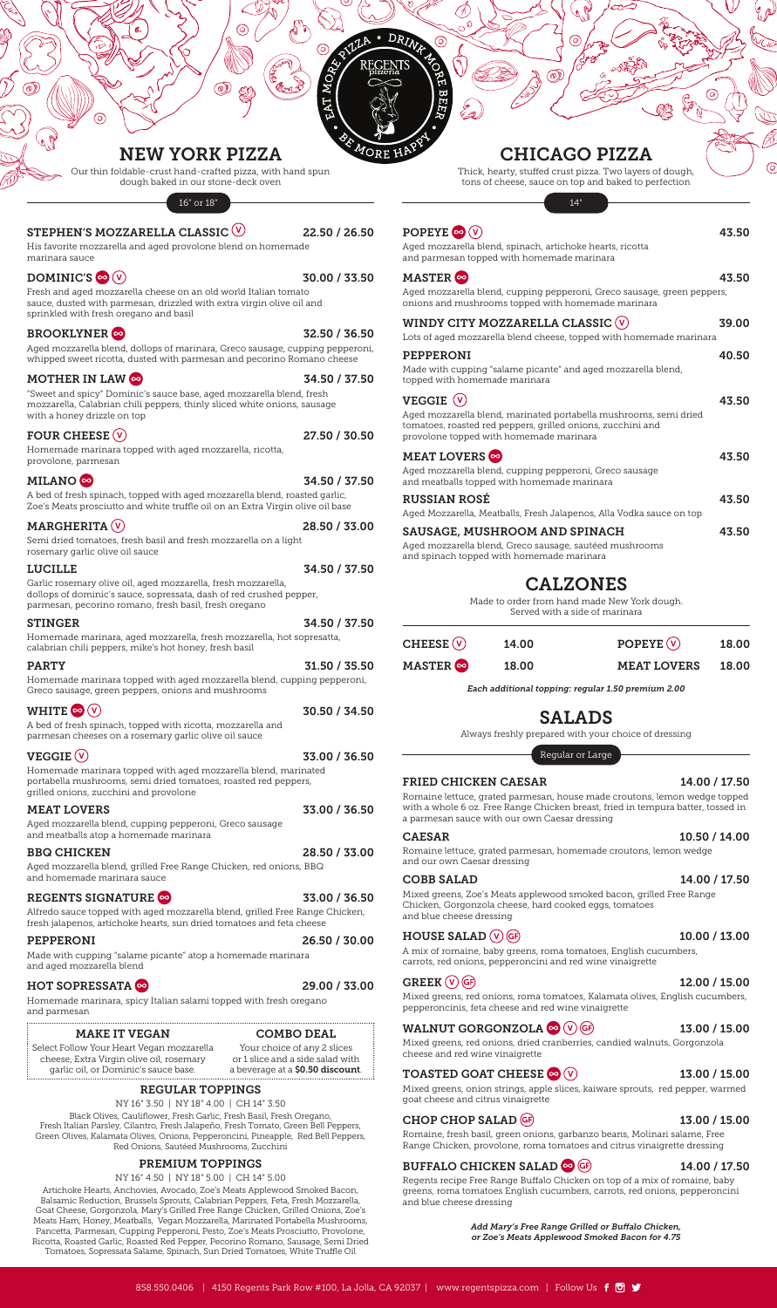# NEW YORK PIZZA

Our thin foldable-crust hand-crafted pizza, with hand spun dough baked in our stone-deck oven

16" or 18"

#### STEPHEN'S MOZZARELLA CLASSIC  $\vee$  22.50 / 26.50

His favorite mozzarella and aged provolone blend on homemade marinara sauce

### $DOMINIC'S \otimes (V)$  30.00 / 33.50

Fresh and aged mozzarella cheese on an old world Italian tomato sauce, dusted with parmesan, drizzled with extra virgin olive oil and sprinkled with fresh oregano and basil

### $B$ ROOKLYNER $\infty$  32.50 / 36.50

Aged mozzarella blend, dollops of marinara, Greco sausage, cupping pepperoni, whipped sweet ricotta, dusted with parmesan and pecorino Romano cheese

#### MOTHER IN LAW  $\odot$  34.50 / 37.50

"Sweet and spicy" Dominic's sauce base, aged mozzarella blend, fresh mozzarella, Calabrian chili peppers, thinly sliced white onions, sausage with a honey drizzle on top

### FOUR CHEESE (V) 27.50 / 30.50

Homemade marinara topped with aged mozzarella, ricotta, provolone, parmesan

### MILANO  $\odot$  34.50 / 37.50

A bed of fresh spinach, topped with aged mozzarella blend, roasted garlic, Zoe's Meats prosciutto and white truffle oil on an Extra Virgin olive oil base

### MARGHERITA (V) 28.50 / 33.00

Semi dried tomatoes, fresh basil and fresh mozzarella on a light rosemary garlic olive oil sauce

#### LUCILLE 34.50 / 37.50

Garlic rosemary olive oil, aged mozzarella, fresh mozzarella, dollops of dominic's sauce, sopressata, dash of red crushed pepper, parmesan, pecorino romano, fresh basil, fresh oregano

#### STINGER 34.50 / 37.50

Homemade marinara, aged mozzarella, fresh mozzarella, hot sopresatta, calabrian chili peppers, mike's hot honey, fresh basil

#### PARTY 31.50 / 35.50

Homemade marinara topped with aged mozzarella blend, cupping pepperoni, Greco sausage, green peppers, onions and mushrooms

| WHITE $\odot$ $\circ$                                                                                                                                                       | 30.50 / 34.50 |
|-----------------------------------------------------------------------------------------------------------------------------------------------------------------------------|---------------|
| A bed of fresh spinach, topped with ricotta, mozzarella and<br>parmesan cheeses on a rosemary garlic olive oil sauce                                                        |               |
| <b>VEGGIE <math>(\vee)</math></b>                                                                                                                                           | 33.00 / 36.50 |
| Homemade marinara topped with aged mozzarella blend, marinated<br>portabella mushrooms, semi dried tomatoes, roasted red peppers,<br>grilled onions, zucchini and provolone |               |
| <b>MEAT LOVERS</b>                                                                                                                                                          | 33.00 / 36.50 |
| Aged mozzarella blend, cupping pepperoni, Greco sausage<br>and meatballs atop a homemade marinara                                                                           |               |
| <b>BBQ CHICKEN</b>                                                                                                                                                          | 28.50 / 33.00 |
| Aged mozzarella blend, grilled Free Range Chicken, red onions, BBQ<br>and homemade marinara sauce                                                                           |               |

# REGENTS SIGNATURE <sup>or</sup> 33.00 / 36.50

Alfredo sauce topped with aged mozzarella blend, grilled Free Range Chicken, fresh jalapenos, artichoke hearts, sun dried tomatoes and feta cheese

| PEPPERONI                                                                                | 26.50 / 30.00 |
|------------------------------------------------------------------------------------------|---------------|
| Made with cupping "salame picante" atop a homemade marinara<br>and aged mozzarella blend |               |

# HOT SOPRESSATA  $\otimes$  29.00 / 33.00

Homemade marinara, spicy Italian salami topped with fresh oregano and parmesan

Select Follow Your Heart Vegan mozzarella cheese, Extra Virgin olive oil, rosemary garlic oil, or Dominic's sauce base.

Your choice of any 2 slices or 1 slice and a side salad with

a beverage at a \$0.50 discount.

#### REGULAR TOPPINGS

#### NY 16" 3.50 | NY 18" 4.00 | CH 14" 3.50

Black Olives, Cauliflower, Fresh Garlic, Fresh Basil, Fresh Oregano, Fresh Italian Parsley, Cilantro, Fresh Jalapeño, Fresh Tomato, Green Bell Peppers, Green Olives, Kalamata Olives, Onions, Pepperoncini, Pineapple, Red Bell Peppers, Red Onions, Sautéed Mushrooms, Zucchini

#### PREMIUM TOPPINGS

#### NY 16" 4.50 | NY 18" 5.00 | CH 14" 5.00

Artichoke Hearts, Anchovies, Avocado, Zoe's Meats Applewood Smoked Bacon, Balsamic Reduction, Brussels Sprouts, Calabrian Peppers, Feta, Fresh Mozzarella, Goat Cheese, Gorgonzola, Mary's Grilled Free Range Chicken, Grilled Onions, Zoe's Meats Ham, Honey, Meatballs, Vegan Mozzarella, Marinated Portabella Mushrooms, Pancetta, Parmesan, Cupping Pepperoni, Pesto, Zoe's Meats Prosciutto, Provolone, Ricotta, Roasted Garlic, Roasted Red Pepper, Pecorino Romano, Sausage, Semi Dried Tomatoes, Sopressata Salame, Spinach, Sun Dried Tomatoes, White Truffle Oil

#### WALNUT GORGONZOLA  $\otimes$  (v) GF 13.00 / 15.00

# CHICAGO PIZZA

Thick, hearty, stuffed crust pizza. Two layers of dough, tons of cheese, sauce on top and baked to perfection

14"

| POPEYE $\bullet$ $\circledcirc$ | 43.50 |
|---------------------------------|-------|
|                                 |       |

Aged mozzarella blend, spinach, artichoke hearts, ricotta and parmesan topped with homemade marinara

#### $MASTER \approx 43.50$

Aged mozzarella blend, cupping pepperoni, Greco sausage, green peppers, onions and mushrooms topped with homemade marinara

| 39.00                                                               |
|---------------------------------------------------------------------|
| Lots of aged mozzarella blend cheese, topped with homemade marinara |
| 40.50                                                               |
|                                                                     |
| 43.50                                                               |
|                                                                     |
| 43.50                                                               |
|                                                                     |
| 43.50                                                               |
|                                                                     |
| 43.50                                                               |
|                                                                     |

# **CALZONES**

Made to order from hand made New York dough. Served with a side of marinara

| $\mathsf{CHEESE}\left(\overline{\mathsf{V}}\right)$ | 14.00 | POPEYE $(\vee)$          | 18.00 |
|-----------------------------------------------------|-------|--------------------------|-------|
| MASTER ෙ                                            | 18.00 | <b>MEAT LOVERS 18.00</b> |       |

*Each additional topping: regular 1.50 premium 2.00*

# SALADS

Always freshly prepared with your choice of dressing

Regular or Large

#### FRIED CHICKEN CAESAR 14.00 / 17.50

Romaine lettuce, grated parmesan, house made croutons, lemon wedge topped with a whole 6 oz. Free Range Chicken breast, fried in tempura batter, tossed in a parmesan sauce with our own Caesar dressing

CAESAR 10.50 / 14.00

#### MAKE IT VEGAN COMBO DEAL

#### Romaine lettuce, grated parmesan, homemade croutons, lemon wedge and our own Caesar dressing

#### COBB SALAD 14.00 / 17.50

Mixed greens, Zoe's Meats applewood smoked bacon, grilled Free Range Chicken, Gorgonzola cheese, hard cooked eggs, tomatoes and blue cheese dressing

### $HOUSE SALAD (V) (GF)$  10.00 / 13.00

A mix of romaine, baby greens, roma tomatoes, English cucumbers, carrots, red onions, pepperoncini and red wine vinaigrette

#### GREEK  $(V)$  (GF) 12.00 / 15.00

Mixed greens, red onions, roma tomatoes, Kalamata olives, English cucumbers, pepperoncinis, feta cheese and red wine vinaigrette

Mixed greens, red onions, dried cranberries, candied walnuts, Gorgonzola cheese and red wine vinaigrette

#### TOASTED GOAT CHEESE  $\otimes$  (v) 13.00 / 15.00

Mixed greens, onion strings, apple slices, kaiware sprouts, red pepper, warmed goat cheese and citrus vinaigrette

### CHOP CHOP SALAD  $(F)$  13.00 / 15.00

Romaine, fresh basil, green onions, garbanzo beans, Molinari salame, Free Range Chicken, provolone, roma tomatoes and citrus vinaigrette dressing

### BUFFALO CHICKEN SALAD  $\otimes$  GF 14.00 / 17.50



Regents recipe Free Range Buffalo Chicken on top of a mix of romaine, baby greens, roma tomatoes English cucumbers, carrots, red onions, pepperoncini and blue cheese dressing

> *Add Mary's Free Range Grilled or Buffalo Chicken, or Zoe's Meats Applewood Smoked Bacon for 4.75*